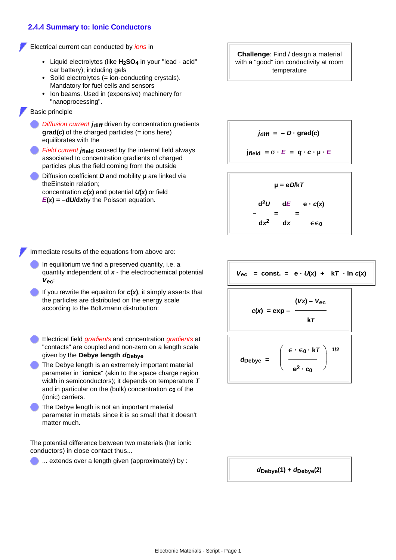## **2.4.4 Summary to: Ionic Conductors**

Electrical current can conducted by *ions* in

- Liquid electrolytes (like **H2SO4** in your "lead acid" car battery); including gels
- Solid electrolytes (= ion-conducting crystals). Mandatory for fuel cells and sensors
- Ion beams. Used in (expensive) machinery for "nanoprocessing".

Basic principle

- **Diffusion current jaiff driven by concentration gradients grad(***c***)** of the charged particles (= ions here) equilibrates with the
- *<i>Field current j***<sub>field</sub>** caused by the internal field always associated to concentration gradients of charged particles plus the field coming from the outside
- Diffusion coefficient *D* and mobility **µ** are linked via theEinstein relation; concentration *c***(***x***)** and potential *U***(***x***)** or field

 $E(x) = -dU/dx$  by the Poisson equation.

**Challenge**: Find / design a material with a "good" ion conductivity at room temperature

 $j$ **diff** =  $-D \cdot$ **grad(***c***)** 

**j**field =  $\sigma$   $\cdot$  **E** =  $q \cdot c \cdot \mu \cdot E$ 



Immediate results of the equations from above are:

- In equilibrium we find a preserved quantity, i.e. a quantity independent of *x* - the electrochemical potential *V***ec**:
- If you rewrite the equaiton for *c***(***x***)**, it simply asserts that the particles are distributed on the energy scale according to the Boltzmann distrubution: *c***(***x***) = exp –**
- Electrical field *gradients* and concentration *gradients* at "contacts" are coupled and non-zero on a length scale given by the **Debye length** *<sup>d</sup>***Debye** *<sup>d</sup>***Debye<sup>=</sup>**
- The Debye length is an extremely important material parameter in "**ionics**" (akin to the space charge region width in semiconductors); it depends on temperature *T* and in particular on the (bulk) concentration *c***0** of the (ionic) carriers.
- The Debye length is not an important material parameter in metals since it is so small that it doesn't matter much.

The potential difference between two materials (her ionic conductors) in close contact thus...

... extends over a length given (approximately) by :

 $V_{\text{ec}}$  = const. = e  $\cdot$   $U(x)$  + k*T*  $\cdot$  ln *c*(*x*)

$$
c(x) = \exp - \frac{(Vx) - V_{\text{ec}}}{kT}
$$
\n
$$
d_{\text{Debye}} = \left(\frac{\epsilon \cdot \epsilon_0 \cdot kT}{e^2 \cdot c_0}\right)^{1/2}
$$

*d***Debye(1) +** *d***Debye(2)**